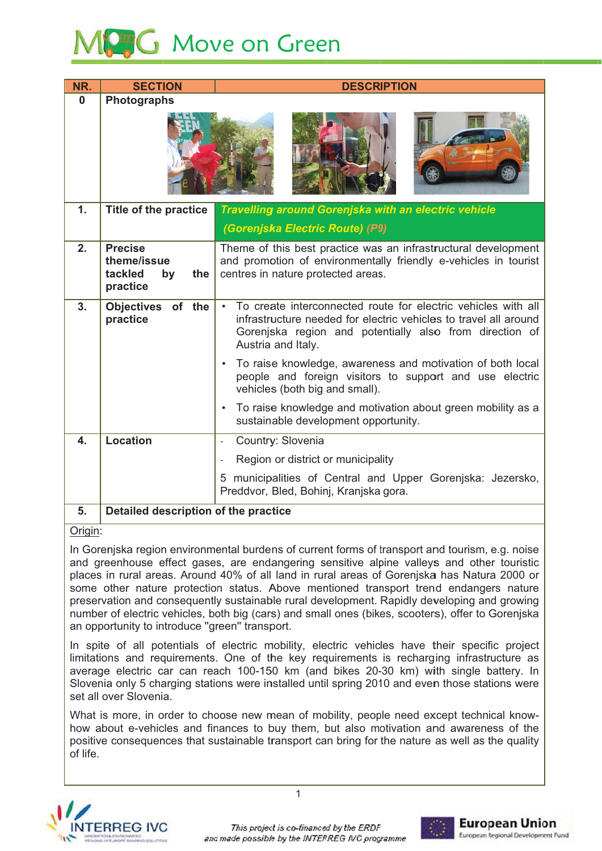# **SG** Move on Green

| NR.            | <b>SECTION</b>                                                    | <b>DESCRIPTION</b>                                                                                                                                                                                                              |
|----------------|-------------------------------------------------------------------|---------------------------------------------------------------------------------------------------------------------------------------------------------------------------------------------------------------------------------|
| 0              | Photographs                                                       |                                                                                                                                                                                                                                 |
| 1.             | <b>Title of the practice</b>                                      | <b>Travelling around Gorenjska with an electric vehicle</b><br>(Gorenjska Electric Route) (P9)                                                                                                                                  |
| 2.             | <b>Precise</b><br>theme/issue<br>tackled<br>the<br>by<br>practice | Theme of this best practice was an infrastructural development<br>and promotion of environmentally friendly e-vehicles in tourist<br>centres in nature protected areas.                                                         |
| 3 <sub>1</sub> | Objectives of the<br>practice                                     | To create interconnected route for electric vehicles with all<br>$\bullet$<br>infrastructure needed for electric vehicles to travel all around<br>Gorenjska region and potentially also from direction of<br>Austria and Italy. |
|                |                                                                   | To raise knowledge, awareness and motivation of both local<br>people and foreign visitors to support and use electric<br>vehicles (both big and small).                                                                         |
|                |                                                                   | To raise knowledge and motivation about green mobility as a<br>sustainable development opportunity.                                                                                                                             |
| 4.             | <b>Location</b>                                                   | Country: Slovenia<br>$\overline{\phantom{a}}$                                                                                                                                                                                   |
|                |                                                                   | Region or district or municipality<br>$\overline{\phantom{a}}$                                                                                                                                                                  |
|                |                                                                   | 5 municipalities of Central and Upper Gorenjska: Jezersko,<br>Preddvor, Bled, Bohinj, Kranjska gora.                                                                                                                            |
| 5.             | Detailed description of the practice                              |                                                                                                                                                                                                                                 |

### Origin:

In Gorenjska region environmental burdens of current forms of transport and tourism, e.g. noise and greenhouse effect gases, are endangering sensitive alpine valleys and other touristic places in rural areas. Around 40% of all land in rural areas of Gorenjska has Natura 2000 or some other nature protection status. Above mentioned transport trend endangers nature preservation and consequently sustainable rural development. Rapidly developing and growing number of electric vehicles, both big (cars) and small ones (bikes, scooters), offer to Goreniska an opportunity to introduce "green" transport.

In spite of all potentials of electric mobility, electric vehicles have their specific project limitations and requirements. One of the key requirements is recharging infrastructure as average electric car can reach 100-150 km (and bikes 20-30 km) with single battery. In Slovenia only 5 charging stations were installed until spring 2010 and even those stations were set all over Slovenia.

What is more, in order to choose new mean of mobility, people need except technical knowhow about e-vehicles and finances to buy them, but also motivation and awareness of the positive consequences that sustainable transport can bring for the nature as well as the quality of life.



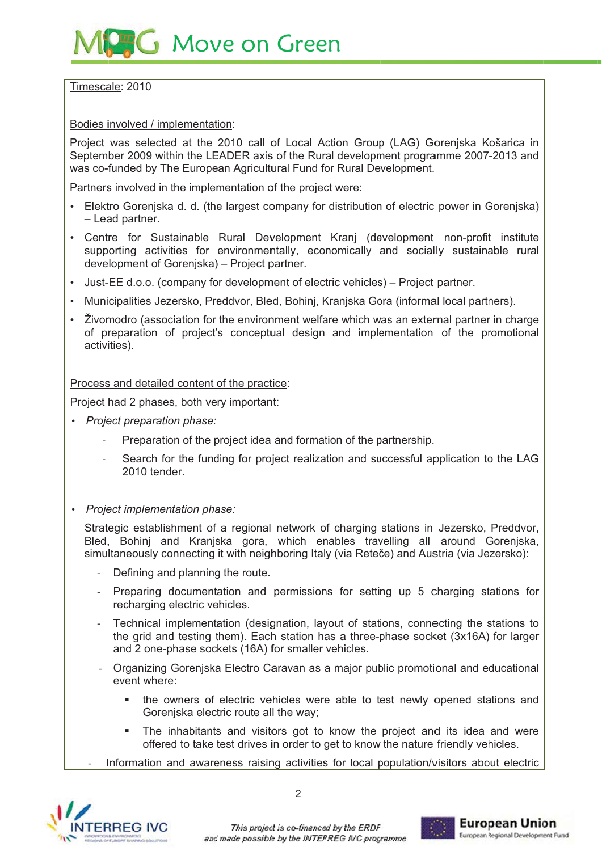## **G** Move on Green

Timescale: 2010

Bodies involved / implementation:

Project was selected at the 2010 call of Local Action Group (LAG) Gorenjska Košarica in September 2009 within the LEADER axis of the Rural development programme 2007-2013 and was co-funded by The European Agricultural Fund for Rural Development.

Partners involved in the implementation of the project were:

- Elektro Goreniska d. d. (the largest company for distribution of electric power in Goreniska) - Lead partner.
- Centre for Sustainable Rural Development Kranj (development non-profit institute supporting activities for environmentally, economically and socially sustainable rural development of Gorenjska) - Project partner.
- Just-EE d.o.o. (company for development of electric vehicles) Project partner.
- · Municipalities Jezersko, Preddvor, Bled, Bohinj, Kranjska Gora (informal local partners).
- Živomodro (association for the environment welfare which was an external partner in charge of preparation of project's conceptual design and implementation of the promotional activities).

Process and detailed content of the practice:

Project had 2 phases, both very important:

- Project preparation phase:
	- Preparation of the project idea and formation of the partnership.
	- Search for the funding for project realization and successful application to the LAG 2010 tender.
- Project implementation phase:

Strategic establishment of a regional network of charging stations in Jezersko, Preddvor, Bled, Bohinj and Kraniska gora, which enables travelling all around Goreniska, simultaneously connecting it with neighboring Italy (via Reteče) and Austria (via Jezersko):

- Defining and planning the route.
- Preparing documentation and permissions for setting up 5 charging stations for recharging electric vehicles.
- Technical implementation (designation, layout of stations, connecting the stations to the grid and testing them). Each station has a three-phase socket (3x16A) for larger and 2 one-phase sockets (16A) for smaller vehicles.
- Organizing Gorenjska Electro Caravan as a major public promotional and educational event where:
	- $\mathbf{r}$ the owners of electric vehicles were able to test newly opened stations and Goreniska electric route all the way;
	- $\mathbf{r}$  . The inhabitants and visitors got to know the project and its idea and were offered to take test drives in order to get to know the nature friendly vehicles.
- Information and awareness raising activities for local population/visitors about electric



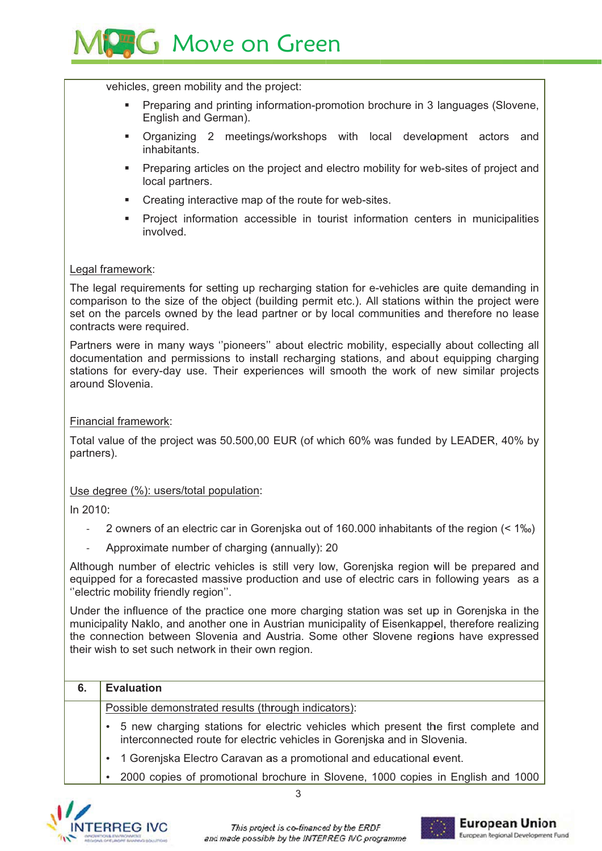

vehicles, green mobility and the project:

- Preparing and printing information-promotion brochure in 3 languages (Slovene, English and German).
- Organizing 2 meetings/workshops with local development actors and inhabitants.
- Preparing articles on the project and electro mobility for web-sites of project and  $\mathbf{r}$ local partners.
- $\mathbf{r}$  . Creating interactive map of the route for web-sites.
- Project information accessible in tourist information centers in municipalities involved.

#### Legal framework:

The legal requirements for setting up recharging station for e-vehicles are quite demanding in comparison to the size of the object (building permit etc.). All stations within the project were set on the parcels owned by the lead partner or by local communities and therefore no lease contracts were required.

Partners were in many ways "pioneers" about electric mobility, especially about collecting all documentation and permissions to install recharging stations, and about equipping charging stations for every-day use. Their experiences will smooth the work of new similar projects around Slovenia

#### **Financial framework:**

Total value of the project was 50.500,00 EUR (of which 60% was funded by LEADER, 40% by partners).

#### Use degree (%): users/total population:

In 2010:

- 2 owners of an electric car in Gorenjska out of 160.000 inhabitants of the region (< 1%)
- Approximate number of charging (annually): 20

Although number of electric vehicles is still very low, Goreniska region will be prepared and equipped for a forecasted massive production and use of electric cars in following years as a "electric mobility friendly region".

Under the influence of the practice one more charging station was set up in Gorenjska in the municipality Naklo, and another one in Austrian municipality of Eisenkappel, therefore realizing the connection between Slovenia and Austria. Some other Slovene regions have expressed their wish to set such network in their own region.

#### $6<sub>1</sub>$ **Evaluation**

Possible demonstrated results (through indicators):

- 5 new charging stations for electric vehicles which present the first complete and interconnected route for electric vehicles in Goreniska and in Slovenia.
- 1 Goreniska Electro Caravan as a promotional and educational event.
- 2000 copies of promotional brochure in Slovene, 1000 copies in English and 1000



3

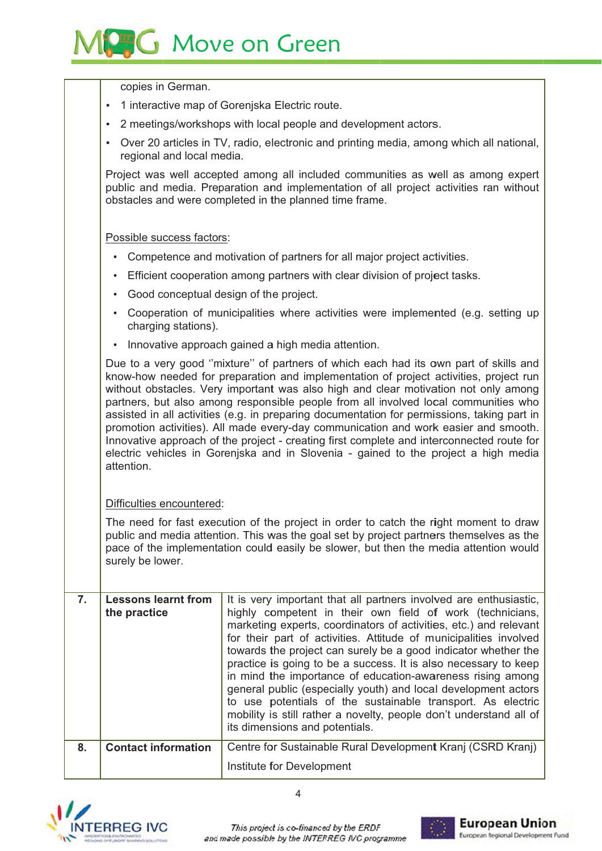

copies in German. 1 interactive map of Gorenjska Electric route. 2 meetings/workshops with local people and development actors. • Over 20 articles in TV, radio, electronic and printing media, among which all national, regional and local media. Project was well accepted among all included communities as well as among expert public and media. Preparation and implementation of all project activities ran without obstacles and were completed in the planned time frame. Possible success factors: • Competence and motivation of partners for all major project activities. • Efficient cooperation among partners with clear division of project tasks. • Good conceptual design of the project. • Cooperation of municipalities where activities were implemented (e.g. setting up charging stations). • Innovative approach gained a high media attention. Due to a very good "mixture" of partners of which each had its own part of skills and know-how needed for preparation and implementation of project activities, project run without obstacles. Very important was also high and clear motivation not only among partners, but also among responsible people from all involved local communities who assisted in all activities (e.g. in preparing documentation for permissions, taking part in promotion activities). All made every-day communication and work easier and smooth. Innovative approach of the project - creating first complete and interconnected route for electric vehicles in Goreniska and in Slovenia - gained to the project a high media attention Difficulties encountered: The need for fast execution of the project in order to catch the right moment to draw public and media attention. This was the goal set by project partners themselves as the pace of the implementation could easily be slower, but then the media attention would surely be lower.

|    | <b>Lessons learnt from</b><br>the practice | It is very important that all partners involved are enthusiastic,<br>highly competent in their own field of work (technicians,<br>marketing experts, coordinators of activities, etc.) and relevant<br>for their part of activities. Attitude of municipalities involved<br>towards the project can surely be a good indicator whether the<br>practice is going to be a success. It is also necessary to keep<br>in mind the importance of education-awareness rising among<br>general public (especially youth) and local development actors<br>to use potentials of the sustainable transport. As electric<br>mobility is still rather a novelty, people don't understand all of<br>its dimensions and potentials. |
|----|--------------------------------------------|----------------------------------------------------------------------------------------------------------------------------------------------------------------------------------------------------------------------------------------------------------------------------------------------------------------------------------------------------------------------------------------------------------------------------------------------------------------------------------------------------------------------------------------------------------------------------------------------------------------------------------------------------------------------------------------------------------------------|
| 8. | <b>Contact information</b>                 | Centre for Sustainable Rural Development Kranj (CSRD Kranj)<br>Institute for Development                                                                                                                                                                                                                                                                                                                                                                                                                                                                                                                                                                                                                             |
|    |                                            |                                                                                                                                                                                                                                                                                                                                                                                                                                                                                                                                                                                                                                                                                                                      |